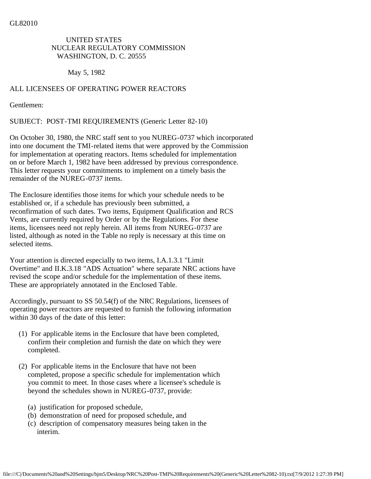## UNITED STATES NUCLEAR REGULATORY COMMISSION WASHINGTON, D. C. 20555

May 5, 1982

## ALL LICENSEES OF OPERATING POWER REACTORS

Gentlemen:

SUBJECT: POST-TMI REQUIREMENTS (Generic Letter 82-10)

On October 30, 1980, the NRC staff sent to you NUREG-0737 which incorporated into one document the TMI-related items that were approved by the Commission for implementation at operating reactors. Items scheduled for implementation on or before March 1, 1982 have been addressed by previous correspondence. This letter requests your commitments to implement on a timely basis the remainder of the NUREG-0737 items.

The Enclosure identifies those items for which your schedule needs to be established or, if a schedule has previously been submitted, a reconfirmation of such dates. Two items, Equipment Qualification and RCS Vents, are currently required by Order or by the Regulations. For these items, licensees need not reply herein. All items from NUREG-0737 are listed, although as noted in the Table no reply is necessary at this time on selected items.

Your attention is directed especially to two items, I.A.1.3.1 "Limit Overtime" and II.K.3.18 "ADS Actuation" where separate NRC actions have revised the scope and/or schedule for the implementation of these items. These are appropriately annotated in the Enclosed Table.

Accordingly, pursuant to SS 50.54(f) of the NRC Regulations, licensees of operating power reactors are requested to furnish the following information within 30 days of the date of this letter:

- (1) For applicable items in the Enclosure that have been completed, confirm their completion and furnish the date on which they were completed.
- (2) For applicable items in the Enclosure that have not been completed, propose a specific schedule for implementation which you commit to meet. In those cases where a licensee's schedule is beyond the schedules shown in NUREG-0737, provide:
	- (a) justification for proposed schedule,
	- (b) demonstration of need for proposed schedule, and
	- (c) description of compensatory measures being taken in the interim.